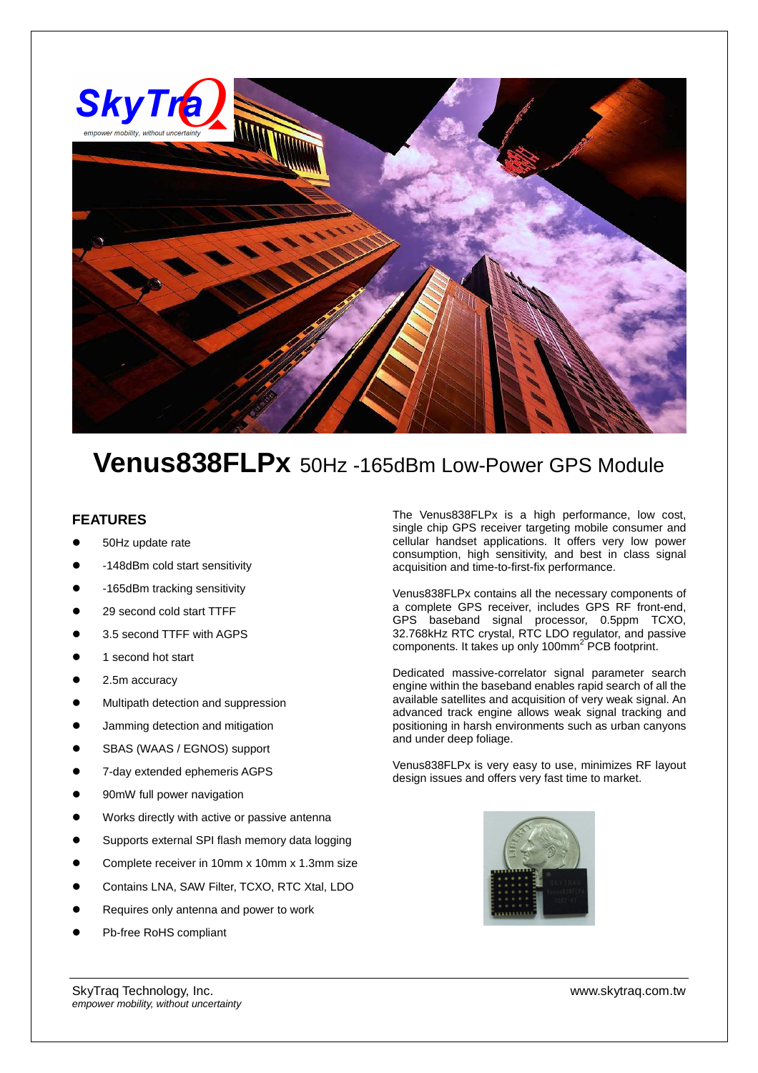

## **Venus838FLPx** 50Hz -165dBm Low-Power GPS Module

## **FEATURES**

- 50Hz update rate
- -148dBm cold start sensitivity
- -165dBm tracking sensitivity
- 29 second cold start TTFF
- 3.5 second TTFF with AGPS
- 1 second hot start
- 2.5m accuracy
- Multipath detection and suppression
- Jamming detection and mitigation
- SBAS (WAAS / EGNOS) support
- 7-day extended ephemeris AGPS
- 90mW full power navigation
- Works directly with active or passive antenna
- Supports external SPI flash memory data logging
- Complete receiver in 10mm x 10mm x 1.3mm size
- Contains LNA, SAW Filter, TCXO, RTC Xtal, LDO
- Requires only antenna and power to work
- Pb-free RoHS compliant

The Venus838FLPx is a high performance, low cost, single chip GPS receiver targeting mobile consumer and cellular handset applications. It offers very low power consumption, high sensitivity, and best in class signal acquisition and time-to-first-fix performance.

Venus838FLPx contains all the necessary components of a complete GPS receiver, includes GPS RF front-end, GPS baseband signal processor, 0.5ppm TCXO, 32.768kHz RTC crystal, RTC LDO regulator, and passive components. It takes up only 100mm<sup>2</sup> PCB footprint.

Dedicated massive-correlator signal parameter search engine within the baseband enables rapid search of all the available satellites and acquisition of very weak signal. An advanced track engine allows weak signal tracking and positioning in harsh environments such as urban canyons and under deep foliage.

Venus838FLPx is very easy to use, minimizes RF layout design issues and offers very fast time to market.



SkyTraq Technology, Inc. www.skytraq.com.tw empower mobility, without uncertainty